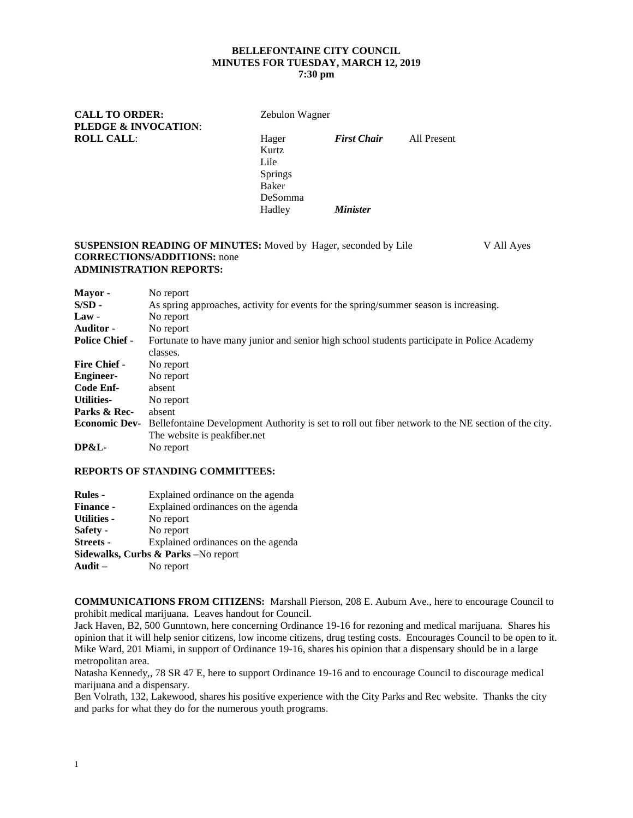# **BELLEFONTAINE CITY COUNCIL MINUTES FOR TUESDAY, MARCH 12, 2019**

## **7:30 pm**

**CALL TO ORDER:** Zebulon Wagner **PLEDGE & INVOCATION**: **ROLL CALL**: Hager *First Chair* All Present Kurtz Lile Springs Baker DeSomma Hadley *Minister*

#### **SUSPENSION READING OF MINUTES:** Moved by Hager, seconded by Lile V All Ayes **CORRECTIONS/ADDITIONS:** none **ADMINISTRATION REPORTS:**

| Mayor -               | No report                                                                                               |
|-----------------------|---------------------------------------------------------------------------------------------------------|
| $S/SD -$              | As spring approaches, activity for events for the spring/summer season is increasing.                   |
| $Law -$               | No report                                                                                               |
| <b>Auditor -</b>      | No report                                                                                               |
| <b>Police Chief -</b> | Fortunate to have many junior and senior high school students participate in Police Academy<br>classes. |
| <b>Fire Chief -</b>   | No report                                                                                               |
| <b>Engineer-</b>      | No report                                                                                               |
| Code Enf-             | absent                                                                                                  |
| <b>Utilities-</b>     | No report                                                                                               |
| Parks & Rec-          | absent                                                                                                  |
| <b>Economic Dev-</b>  | Bellefontaine Development Authority is set to roll out fiber network to the NE section of the city.     |
|                       | The website is peakfiber.net                                                                            |
| <b>DP&amp;L-</b>      | No report                                                                                               |

#### **REPORTS OF STANDING COMMITTEES:**

| <b>Rules</b> -     | Explained ordinance on the agenda   |
|--------------------|-------------------------------------|
| <b>Finance -</b>   | Explained ordinances on the agenda  |
| <b>Utilities -</b> | No report                           |
| Safety -           | No report                           |
| <b>Streets -</b>   | Explained ordinances on the agenda  |
|                    | Sidewalks, Curbs & Parks -No report |
| Audit $-$          | No report                           |

**COMMUNICATIONS FROM CITIZENS:** Marshall Pierson, 208 E. Auburn Ave., here to encourage Council to prohibit medical marijuana. Leaves handout for Council.

Jack Haven, B2, 500 Gunntown, here concerning Ordinance 19-16 for rezoning and medical marijuana. Shares his opinion that it will help senior citizens, low income citizens, drug testing costs. Encourages Council to be open to it. Mike Ward, 201 Miami, in support of Ordinance 19-16, shares his opinion that a dispensary should be in a large metropolitan area.

Natasha Kennedy,, 78 SR 47 E, here to support Ordinance 19-16 and to encourage Council to discourage medical marijuana and a dispensary.

Ben Volrath, 132, Lakewood, shares his positive experience with the City Parks and Rec website. Thanks the city and parks for what they do for the numerous youth programs.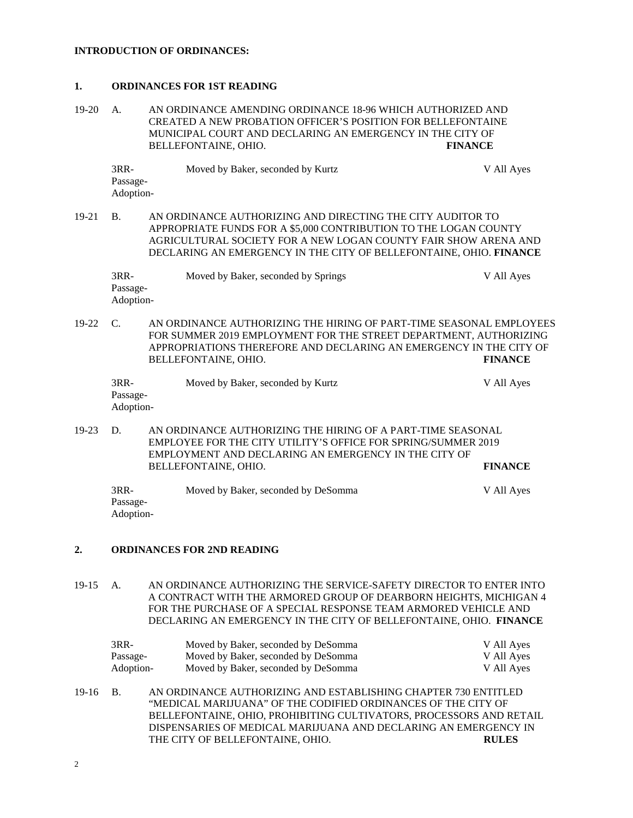#### **INTRODUCTION OF ORDINANCES:**

#### **1. ORDINANCES FOR 1ST READING**

19-20 A. AN ORDINANCE AMENDING ORDINANCE 18-96 WHICH AUTHORIZED AND CREATED A NEW PROBATION OFFICER'S POSITION FOR BELLEFONTAINE MUNICIPAL COURT AND DECLARING AN EMERGENCY IN THE CITY OF BELLEFONTAINE, OHIO. **FINANCE**

| $3RR-$                | Moved by Baker, seconded by Kurtz | V All Ayes |
|-----------------------|-----------------------------------|------------|
| Passage-<br>Adoption- |                                   |            |
|                       |                                   |            |

19-21 B. AN ORDINANCE AUTHORIZING AND DIRECTING THE CITY AUDITOR TO APPROPRIATE FUNDS FOR A \$5,000 CONTRIBUTION TO THE LOGAN COUNTY AGRICULTURAL SOCIETY FOR A NEW LOGAN COUNTY FAIR SHOW ARENA AND DECLARING AN EMERGENCY IN THE CITY OF BELLEFONTAINE, OHIO. **FINANCE**

| 3RR-      | Moved by Baker, seconded by Springs | V All Ayes |
|-----------|-------------------------------------|------------|
| Passage-  |                                     |            |
| Adoption- |                                     |            |

19-22 C. AN ORDINANCE AUTHORIZING THE HIRING OF PART-TIME SEASONAL EMPLOYEES FOR SUMMER 2019 EMPLOYMENT FOR THE STREET DEPARTMENT, AUTHORIZING APPROPRIATIONS THEREFORE AND DECLARING AN EMERGENCY IN THE CITY OF BELLEFONTAINE, OHIO. **FINANCE**

| $3RR-$    | Moved by Baker, seconded by Kurtz | V All Ayes |
|-----------|-----------------------------------|------------|
| Passage-  |                                   |            |
| Adoption- |                                   |            |

19-23 D. AN ORDINANCE AUTHORIZING THE HIRING OF A PART-TIME SEASONAL EMPLOYEE FOR THE CITY UTILITY'S OFFICE FOR SPRING/SUMMER 2019 EMPLOYMENT AND DECLARING AN EMERGENCY IN THE CITY OF BELLEFONTAINE, OHIO. **FINANCE**

| 3RR-      | Moved by Baker, seconded by DeSomma | V All Ayes |
|-----------|-------------------------------------|------------|
| Passage-  |                                     |            |
| Adoption- |                                     |            |

#### **2. ORDINANCES FOR 2ND READING**

19-15 A. AN ORDINANCE AUTHORIZING THE SERVICE-SAFETY DIRECTOR TO ENTER INTO A CONTRACT WITH THE ARMORED GROUP OF DEARBORN HEIGHTS, MICHIGAN 4 FOR THE PURCHASE OF A SPECIAL RESPONSE TEAM ARMORED VEHICLE AND DECLARING AN EMERGENCY IN THE CITY OF BELLEFONTAINE, OHIO. **FINANCE**

| $3RR-$    | Moved by Baker, seconded by DeSomma | V All Ayes |
|-----------|-------------------------------------|------------|
| Passage-  | Moved by Baker, seconded by DeSomma | V All Ayes |
| Adoption- | Moved by Baker, seconded by DeSomma | V All Ayes |

19-16 B. AN ORDINANCE AUTHORIZING AND ESTABLISHING CHAPTER 730 ENTITLED "MEDICAL MARIJUANA" OF THE CODIFIED ORDINANCES OF THE CITY OF BELLEFONTAINE, OHIO, PROHIBITING CULTIVATORS, PROCESSORS AND RETAIL DISPENSARIES OF MEDICAL MARIJUANA AND DECLARING AN EMERGENCY IN THE CITY OF BELLEFONTAINE, OHIO. **RULES**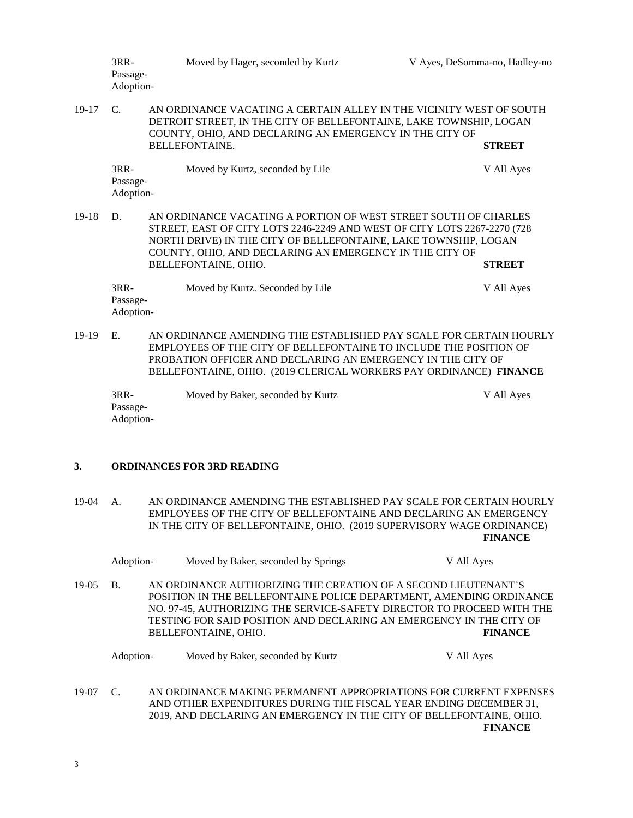|       | $3RR-$<br>Passage-<br>Adoption- | Moved by Hager, seconded by Kurtz                                                                                                                                                                                                                                                                 | V Ayes, DeSomma-no, Hadley-no |
|-------|---------------------------------|---------------------------------------------------------------------------------------------------------------------------------------------------------------------------------------------------------------------------------------------------------------------------------------------------|-------------------------------|
| 19-17 | $\mathcal{C}$                   | AN ORDINANCE VACATING A CERTAIN ALLEY IN THE VICINITY WEST OF SOUTH<br>DETROIT STREET, IN THE CITY OF BELLEFONTAINE, LAKE TOWNSHIP, LOGAN<br>COUNTY, OHIO, AND DECLARING AN EMERGENCY IN THE CITY OF<br><b>BELLEFONTAINE.</b>                                                                     | <b>STREET</b>                 |
|       | $3RR-$<br>Passage-<br>Adoption- | Moved by Kurtz, seconded by Lile                                                                                                                                                                                                                                                                  | V All Ayes                    |
| 19-18 | D.                              | AN ORDINANCE VACATING A PORTION OF WEST STREET SOUTH OF CHARLES<br>STREET, EAST OF CITY LOTS 2246-2249 AND WEST OF CITY LOTS 2267-2270 (728<br>NORTH DRIVE) IN THE CITY OF BELLEFONTAINE, LAKE TOWNSHIP, LOGAN<br>COUNTY, OHIO, AND DECLARING AN EMERGENCY IN THE CITY OF<br>BELLEFONTAINE, OHIO. | <b>STREET</b>                 |
|       | $3RR-$<br>Passage-<br>Adoption- | Moved by Kurtz. Seconded by Lile                                                                                                                                                                                                                                                                  | V All Ayes                    |

19-19 E. AN ORDINANCE AMENDING THE ESTABLISHED PAY SCALE FOR CERTAIN HOURLY EMPLOYEES OF THE CITY OF BELLEFONTAINE TO INCLUDE THE POSITION OF PROBATION OFFICER AND DECLARING AN EMERGENCY IN THE CITY OF BELLEFONTAINE, OHIO. (2019 CLERICAL WORKERS PAY ORDINANCE) **FINANCE**

| 3RR-      | Moved by Baker, seconded by Kurtz | V All Ayes |
|-----------|-----------------------------------|------------|
| Passage-  |                                   |            |
| Adoption- |                                   |            |

### **3. ORDINANCES FOR 3RD READING**

19-04 A. AN ORDINANCE AMENDING THE ESTABLISHED PAY SCALE FOR CERTAIN HOURLY EMPLOYEES OF THE CITY OF BELLEFONTAINE AND DECLARING AN EMERGENCY IN THE CITY OF BELLEFONTAINE, OHIO. (2019 SUPERVISORY WAGE ORDINANCE) **FINANCE**

|         | Adoption-             |                      |                                   | Moved by Baker, seconded by Springs                                                                                                       |  | V All Ayes |                                                                                                                                                                 |
|---------|-----------------------|----------------------|-----------------------------------|-------------------------------------------------------------------------------------------------------------------------------------------|--|------------|-----------------------------------------------------------------------------------------------------------------------------------------------------------------|
| $19-05$ | <b>B.</b>             | BELLEFONTAINE, OHIO. |                                   | AN ORDINANCE AUTHORIZING THE CREATION OF A SECOND LIEUTENANT'S<br>TESTING FOR SAID POSITION AND DECLARING AN EMERGENCY IN THE CITY OF     |  |            | POSITION IN THE BELLEFONTAINE POLICE DEPARTMENT, AMENDING ORDINANCE<br>NO. 97-45, AUTHORIZING THE SERVICE-SAFETY DIRECTOR TO PROCEED WITH THE<br><b>FINANCE</b> |
|         | Adoption-             |                      | Moved by Baker, seconded by Kurtz |                                                                                                                                           |  | V All Ayes |                                                                                                                                                                 |
| 19-07   | $\mathcal{C}_{\cdot}$ |                      |                                   | AND OTHER EXPENDITURES DURING THE FISCAL YEAR ENDING DECEMBER 31,<br>2019, AND DECLARING AN EMERGENCY IN THE CITY OF BELLEFONTAINE, OHIO. |  |            | AN ORDINANCE MAKING PERMANENT APPROPRIATIONS FOR CURRENT EXPENSES<br><b>FINANCE</b>                                                                             |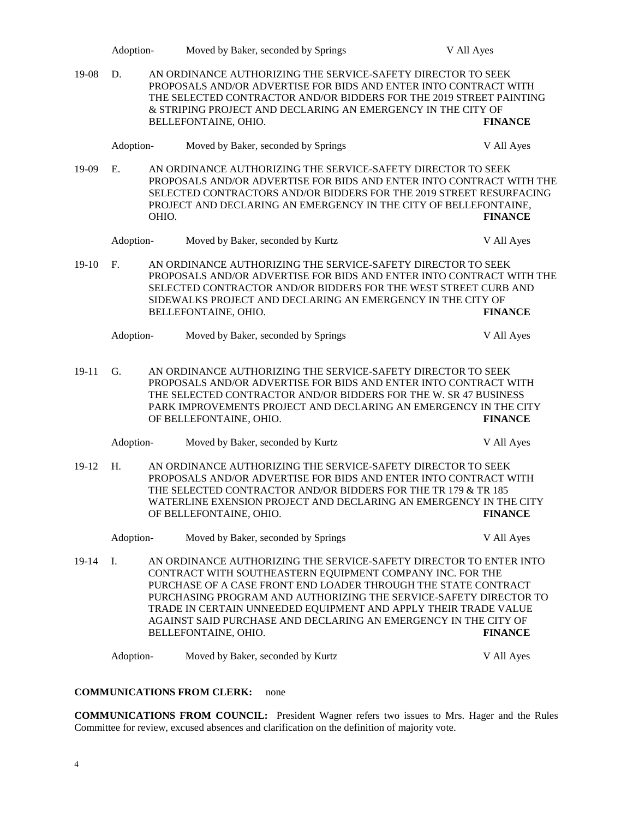|         | Adoption-       |       | Moved by Baker, seconded by Springs                                                                                                                                                                                                                                                                                                                                                                                                                                       | V All Ayes                   |
|---------|-----------------|-------|---------------------------------------------------------------------------------------------------------------------------------------------------------------------------------------------------------------------------------------------------------------------------------------------------------------------------------------------------------------------------------------------------------------------------------------------------------------------------|------------------------------|
| 19-08   | D.              |       | AN ORDINANCE AUTHORIZING THE SERVICE-SAFETY DIRECTOR TO SEEK<br>PROPOSALS AND/OR ADVERTISE FOR BIDS AND ENTER INTO CONTRACT WITH<br>THE SELECTED CONTRACTOR AND/OR BIDDERS FOR THE 2019 STREET PAINTING<br>& STRIPING PROJECT AND DECLARING AN EMERGENCY IN THE CITY OF<br>BELLEFONTAINE, OHIO.                                                                                                                                                                           | <b>FINANCE</b>               |
|         | Adoption-       |       | Moved by Baker, seconded by Springs                                                                                                                                                                                                                                                                                                                                                                                                                                       | V All Ayes                   |
| 19-09   | E.              | OHIO. | AN ORDINANCE AUTHORIZING THE SERVICE-SAFETY DIRECTOR TO SEEK<br>PROPOSALS AND/OR ADVERTISE FOR BIDS AND ENTER INTO CONTRACT WITH THE<br>SELECTED CONTRACTORS AND/OR BIDDERS FOR THE 2019 STREET RESURFACING<br>PROJECT AND DECLARING AN EMERGENCY IN THE CITY OF BELLEFONTAINE,                                                                                                                                                                                           | <b>FINANCE</b>               |
|         | Adoption-       |       | Moved by Baker, seconded by Kurtz                                                                                                                                                                                                                                                                                                                                                                                                                                         | V All Ayes                   |
| $19-10$ | F.              |       | AN ORDINANCE AUTHORIZING THE SERVICE-SAFETY DIRECTOR TO SEEK<br>PROPOSALS AND/OR ADVERTISE FOR BIDS AND ENTER INTO CONTRACT WITH THE<br>SELECTED CONTRACTOR AND/OR BIDDERS FOR THE WEST STREET CURB AND<br>SIDEWALKS PROJECT AND DECLARING AN EMERGENCY IN THE CITY OF<br>BELLEFONTAINE, OHIO.                                                                                                                                                                            | <b>FINANCE</b>               |
|         | Adoption-       |       | Moved by Baker, seconded by Springs                                                                                                                                                                                                                                                                                                                                                                                                                                       | V All Ayes                   |
| 19-11   | G.              |       | AN ORDINANCE AUTHORIZING THE SERVICE-SAFETY DIRECTOR TO SEEK<br>PROPOSALS AND/OR ADVERTISE FOR BIDS AND ENTER INTO CONTRACT WITH<br>THE SELECTED CONTRACTOR AND/OR BIDDERS FOR THE W. SR 47 BUSINESS<br>PARK IMPROVEMENTS PROJECT AND DECLARING AN EMERGENCY IN THE CITY<br>OF BELLEFONTAINE, OHIO.                                                                                                                                                                       | <b>FINANCE</b>               |
|         | Adoption-       |       | Moved by Baker, seconded by Kurtz                                                                                                                                                                                                                                                                                                                                                                                                                                         | V All Ayes                   |
| $19-12$ | Η.              |       | AN ORDINANCE AUTHORIZING THE SERVICE-SAFETY DIRECTOR TO SEEK<br>PROPOSALS AND/OR ADVERTISE FOR BIDS AND ENTER INTO CONTRACT WITH<br>THE SELECTED CONTRACTOR AND/OR BIDDERS FOR THE TR 179 & TR 185<br>WATERLINE EXENSION PROJECT AND DECLARING AN EMERGENCY IN THE CITY<br>OF BELLEFONTAINE, OHIO.                                                                                                                                                                        | <b>FINANCE</b>               |
|         | Adoption-       |       | Moved by Baker, seconded by Springs                                                                                                                                                                                                                                                                                                                                                                                                                                       | V All Ayes                   |
| $19-14$ | Ι.<br>Adoption- |       | AN ORDINANCE AUTHORIZING THE SERVICE-SAFETY DIRECTOR TO ENTER INTO<br>CONTRACT WITH SOUTHEASTERN EQUIPMENT COMPANY INC. FOR THE<br>PURCHASE OF A CASE FRONT END LOADER THROUGH THE STATE CONTRACT<br>PURCHASING PROGRAM AND AUTHORIZING THE SERVICE-SAFETY DIRECTOR TO<br>TRADE IN CERTAIN UNNEEDED EQUIPMENT AND APPLY THEIR TRADE VALUE<br>AGAINST SAID PURCHASE AND DECLARING AN EMERGENCY IN THE CITY OF<br>BELLEFONTAINE, OHIO.<br>Moved by Baker, seconded by Kurtz | <b>FINANCE</b><br>V All Ayes |

## **COMMUNICATIONS FROM CLERK:** none

**COMMUNICATIONS FROM COUNCIL:** President Wagner refers two issues to Mrs. Hager and the Rules Committee for review, excused absences and clarification on the definition of majority vote.